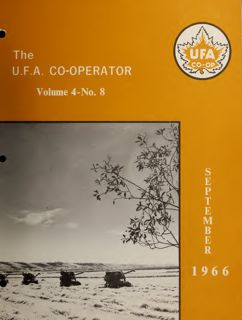



![](_page_0_Picture_2.jpeg)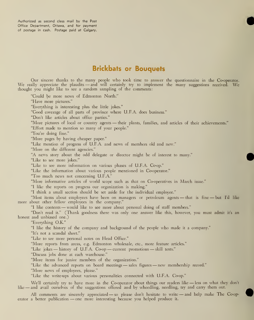Authorized as second class mail by the Post Office Department, Ottawa, and for payment of postage in cash. Postage paid at Calgary.

"Could be more news of Edmonton North."

# Brickbats or Bouquets

Our sincere thanks to the many people who took time to answer the questionnaire in the Co-operator. We really appreciate the plaudits — and will certainly try to implement the many suggestions received. We thought you might like to see a random sampling of the comments:

"Have more pictures." "Everything is interesting plus the little jokes." "Good coverage of all parts of province where U.F.A. does business." "Don't like articles about office parties." "More pictures of local or country agents — their plants, families, and articles of their achievements." "Effort made to mention so many of your people." "You're doing fine." "More pages by having cheaper paper." "Like mention of progress of U.F.A. and news of members old and new." "More on the different agencies." "A news story about the odd delegate or director might be of interest to many." "Like to see more jokes." "Like to see more information on various phases of U.F.A. Co-op." "Like the information about various people mentioned in Co-operator." "Too much news not concerning U.F.A." "More informative articles of world scope such as that on Co-operatives in March issue." "I like the reports on progress our organization is making." "I think a small section should be set aside for the individual employee." "Most items about employees have been on managers or petroleum agents — that is fine — but I'd like more about other fellow employees in the company." "I like contents — would like to see more about personal doing of staff members." "Don't read it." (Thank goodness there was only one answer like this, however, you must admit it's an honest and unbiased one.) "Everything O.K." "I like the history of the company and background of the people who made it<sup>a</sup> company." "It's not a scandal sheet." "Like to see more personal notes on Head Office." "More reports from areas, e.g. Edmonton wholesale, etc., more feature articles." "Like jokes — history of U.F.A. Co-op — current promotions — skill tests." "Discuss jobs done at each warehouse." "More items for junior members of the organization." "Like the advanced reports on board meetings — sales figures — new membership record." "More news of employees, please."

"Like the write-ups about various personalities connected with U.F.A. Co-op."

We'll certainly try to have more in the Co-operator about things our readers like -less on what they don't like — and avail ourselves of the suggestions offered and by wheedling, needling, try and carry them out.

All comments are sincerely appreciated — so please don't hesitate to write — and help make The Co-operator <sup>a</sup> better publication — one more interesting because you helped produce it.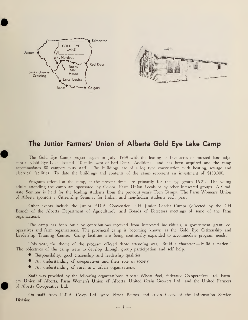![](_page_2_Figure_0.jpeg)

## The Junior Farmers' Union of Alberta Gold Eye Lake Camp

The Gold Eye Camp project began in July, 1959 with the leasing of 15.5 acres of forested land adja cent to Gold Eye Lake, located 110 miles west of Red Deer. Additional land has been acquired and the camp accommodates 80 campers plus staff. The buildings are of <sup>a</sup> log type construction with heating, sewage and electrical facilities. To date the buildings and contents of the camp represent an investment of \$150,000.

Programs offered at the camp, at the present time, are primarily for the age group 16-21. The young adults attending the camp are sponsored by Co-ops, Farm Union Locals or by other interested groups. A Graduate Seminar is held for the leading students from the previous year's Teen Camps. The Farm Women's Union of Alberta sponsors a Citizenship Seminar for Indian and non-Indian students each year.

Other events include the Junior F.U.A. Convention, 4-H Junior Leader Camps (directed by the 4-H Branch of the Alberta Department of Agriculture) and Boards of Directors meetings of some of the farm organizations.

The camp has been built by contributions received from interested individuals, <sup>a</sup> government grant, co operatives and farm organizations. The provincial camp is becoming known as the Gold Eye Citizenship and Leadership Training Centre. Camp facilities are being continually expanded to accommodate program needs.

This year, the theme of the program offered those attending was, "Build a character - build a nation." The objectives of the camp were to develop through group participation and self help:

- Responsibility, good citizenship and leadership qualities.
- An understanding of co-operatives and their role in society.
- An understanding of rural and urban organizations.

Staff was provided by the following organizations: Alberta Wheat Pool, Federated Co-operatives Ltd., Farmers' Union of Alberta, Farm Women's Union of Alberta, United Grain Growers Ltd., and the United Farmers of Alberta Co-operative Ltd.

On staff from U.F.A. Co-op Ltd. were Elmer Reimer and Alvin Goetz of the Information Service Division.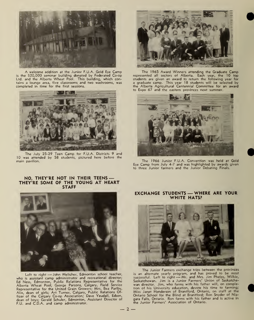![](_page_3_Picture_0.jpeg)

A welcome addition at the Junior F.U.A. Gold Eye Camp is the \$20,000 seminar building donated by Federated Co-op Ltd. and the Alberta Wheat Pool. This building, which contains a lounge area, five classrooms and two washrooms, was completed in time for the first sessions.

![](_page_3_Picture_2.jpeg)

The July 25-29 Teen Camp for F.U.A. Districts 9 and 10 was attended by 58 students, pictured here before the main pavilion.

#### NO, THEY'RE NOT IN THEIR TEENS — THEY'RE SOME OF THE YOUNG AT HEART STAFF

![](_page_3_Picture_5.jpeg)

Left to right —John Melicher, Edmonton school teacher, who is assistant camp administrator and recreational director; Ed Ness, Edmonton, Public Relations Representative for the Alberta Wheat Pool; George Parsons, Calgary, Field Service<br>Representative for the United Grain Growers; Mrs. Bea Parlby, Alix, dean of girls; Art Turner, Calgary, Public Relations Of-ficer of the Calgary Co-op Association; Dave Yeudall, Edson, dean of boys; Gerald Schuler, Edmonton, Assistant Director of F.U. and C.D.A. and camp administrator.

![](_page_3_Picture_7.jpeg)

The 1965 Award Winners attending the Graduate Camp represented all sectors of Alberta. Each year, the 10 top<br>students are given an award to return the following year for<br>a graduate camp. This year 18 students will be selected by<br>the Alberta Agricultural Centennial Committe to Expo 67 and the eastern provinces next summer.

![](_page_3_Picture_9.jpeg)

The 1966 Junior F.U.A. Convention was held at Gold Eye Camp from July 4-7 and was highlighted by awards given to three Junior farmers and the Junior Debating Finals.

#### EXCHANGE STUDENTS — WHERE ARE YOUR WHITE HATS?

![](_page_3_Picture_12.jpeg)

The Junior Farmers exchange trips between the provinces<br>is an alternate yearly program, and has proved to be most<br>successful. Left to right — Mr. and Mrs. Jim Phelps, Wilkie,<br>Saskatchewan. Jim is a Junior Farmers' Union of tion of his University education, devote his time to farming; Miss Janet Henderson of Brantford, Ontario, on staff at the Ontario School for the Blind at Brantford; Ron Snyder of Niagara Falls, Ontario. Ron farms with his father and is active in the Junior Farmers' Association of Ontario.

![](_page_3_Picture_14.jpeg)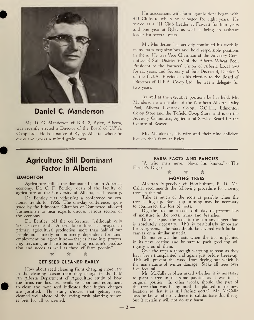![](_page_4_Picture_0.jpeg)

Daniel C. Manderson

Mr. D. C. Manderson of R.R. 2, Ryley, Alberta, was recently elected a Director of the Board of U.F.A. Co-op Ltd. He is <sup>a</sup> native of Ryley, Alberta, where he owns and works a mixed grain farm.

His associations with farm organizations began with 4H Clubs to which he belonged for eight years. He served as <sup>a</sup> 4H Club Leader at Fawcett for four years and one year at Ryley as well as being an assistant leader for several years.

Mr. Manderson has actively continued his work in many farm organizations and held responsible positions in them. He was Vice Chairman of the Advisory Committee of Sub District 507 of the Alberta Wheat Pool; President of the Farmers' Union of Alberta Local 540 for six years; and Secretary of Sub District 3, District 6 of the F.U.A. Previous to his election to the Board of Directors of U.F.A. Co-op Ltd., he was a delegate for two years.

As well as the executive positions he has held, Mr. Manderson is <sup>a</sup> member of the Northern Alberta Dairy Pool, Alberta Livestock Co-op., C.C.I.L., Edmonton Co-op Store and the Tofield Co-op Store, and is on the Advisory Committee, Agricultural Service Board for the County of Beaver.

Mr. Manderson, his wife and their nine children live on their farm at Ryley.

# Agriculture Still Dominant Factor in Alberta

### EDMONTON

Agriculture still is the dominant factor in Alberta's economy, Dr. C. F. Bentley, dean of the faculty of agriculture at the University of Alberta, said recently.

Dr. Bentley was addressing a conference on eco nomic trends for 1966. The one-day conference, sponsored by the Edmonton Chamber of Commerce, allowed businessmen to hear experts discuss various sectors of the economy.

Dr. Bentley told the conference: "Although only 20 per cent of the Alberta labor force is engaged in primary agricultural production, more than half of our people are directly or indirectly dependent for their employment on agriculture — that is handling, processing, servicing and distribution of agriculture's production and needs as well as those of farm people."

## \* \* &

### GET SEED CLEANED EARLY

How about seed cleaning firms charging more late in the cleaning season than they charge in the fall? An Alberta Department of Agriculture study of how the firms can best use available labor and equipment to clean the most seed indicates their higher charges are justified. The study showed that getting seed cleaned well ahead of the spring rush planting season is best for all concerned.

## FARM FACTS AND FANCIES

"A wise man never blows his knows." —The Farmer's Digest.

 $\hat{\mathbb{R}}$   $\qquad \qquad \hat{\mathbb{R}}$   $\qquad \qquad \hat{\mathbb{R}}$ 

### MOVING TREES

Alberta's Supervisor of Horticulture, P. D. Mc-Calla, recommends the following procedure for moving trees in the fall.

Take as much of the roots as possible when the tree is dug up. Some top pruning may be necessary to counteract the loss of roots.

Dig the tree on a cool, dull day to prevent loss of moisture in the roots, trunk and branches.

Do not expose the roots to the sun any longer than is absolutely necessary. This is particularly important for evergreens. The roots should be covered with burlap, canvas or a similar material.

Do not crowd the roots when the tree is planted in its new location and be sure to pack good top soil tightly around them.

Give the trees a thorough watering as soon as they have been transplanted and again just before freeze-up. This will prevent the wood from drying out which is the main cause of winter damage. Stake all trees over five feet tall.

Mr. McCalla is often asked whether it is necessary to plant a tree in the same position as it was in its original position. In other words, should the part of the tree that was facing north be planted in its new location so that it is still facing north? Mr. McCalla says he knows of no evidence to substantiate this theory but it certainly will not do any harm.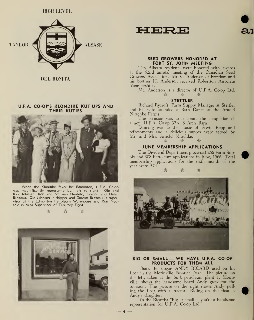![](_page_5_Picture_1.jpeg)

DEL BONITA

 $\sim$ 

#### U.F.A. CO-OP'S KLONDIKE KUT UPS AND THEIR KUTIES

![](_page_5_Picture_4.jpeg)

When the Klondike fever hit Edmonton, U.F.A. Co-op was magnificently represently by: left to right —Ole and Kay Johnsen, Ron and Norman Neufeld, Gordon and Helen Brazeau. Ole Johnson is shipper and Gordon Brazeau is supervisor at the Edmonton Petroleum Warehouse and Ron Neufeld is Area Supervisor of Territory Eight.

 $\Leftrightarrow$ 

愈 愈

![](_page_5_Picture_7.jpeg)

HERE

![](_page_5_Picture_9.jpeg)

#### SEED GROWERS HONORED AT FORT ST. JOHN MEETING

Ten Alberta residents were honored with awards at the 62nd annual meeting of the Canadian Seed Growers' Association. Mr. C. Anderson of Freedom and his brother H. Anderson received Robertson Associate Memberships.

Mr. Anderson is a director of U.F.A. Co-op Ltd.

#### STETTLER

Richard Rycroft, Farm Supply Manager at Stettler and his wife attended a Barn Dance at the Arnold Nitschke Farms.

The occasion was to celebrate the completion of <sup>a</sup> new U.F.A. Co-op 32x48 Arch Barn.

Dancing was to the music of Erwin Repp and refreshments and a delicious supper were served by Mr. and Mrs. Arnold Nitschke.

## $\hat{\mathbf{x}} \qquad \hat{\mathbf{x}} \qquad \hat{\mathbf{x}}$ JUNE MEMBERSHIP APPLICATIONS

The Dividend Department processed 266 Farm Supply and 308 Petroleum applications in June, 1966. Total membership applications for the sixth month of the year were 574.

![](_page_5_Picture_19.jpeg)

#### BIG OR SMALL — WE HAVE U.F.A. CO-OP PRODUCTS FOR THEM ALL

That's the slogan ANDY RICARD used on his float in the Morinville Frontier Daze. The picture on the left, taken at the bulk petroleum plant at Morinville, shows the handsome beard Andy grew for the occasion. The picture on the right shows Andy pulling the float with a tractor. Riding on the float is Andy's daughter.

To the Ricards: "Big or small —you're <sup>a</sup> handsome representation for U.F.A. Co-op Ltd.''

 $-4 -$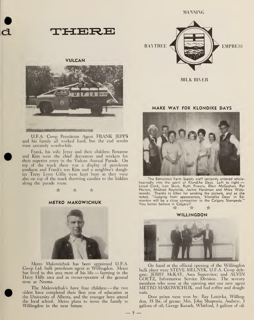HERE THE STATE OF

### VULCAN

![](_page_6_Picture_3.jpeg)

U.F.A. Coop Petroleum Agent FRANK JEPPS and his family all worked hard, but the end results were certainly worthwhile.

Frank, his wife Joyce and their children Roxanne and Kim were the chief decorators and workers for their superior entry in the Vulcan Annual Parade. On top of the truck there was a display of petroleum products and Frank's son Kim and <sup>a</sup> neighbor's daughter Terry Lynn Gillis were kept busy as they were also on top of the truck throwing candies to the kiddies along the parade route.

露

#### METRO MAKOWICHUK

![](_page_6_Picture_8.jpeg)

Metro Makowichuk has been appointed U.F.A. Co-op Ltd. bulk petroleum agent at Willingdon. Metro has lived in this area most of his life — farming in the Hairy Hills area and as owner-operator of the general store at Norma.

The Makowichuk's have four children — the two oldest have completed their first year of education at the University of Alberta, and the younger boys attend the local school. Metro plans to move the family to Willingdon in the near future.

MANNING

![](_page_6_Picture_12.jpeg)

MILK RIVER

#### MAKE WAY FOR KLONDIKE DAYS

![](_page_6_Picture_15.jpeg)

The Edmonton Farm Supply staff certainly entered wholeheartedly into the spirit of Klondike Days. Left to right — Lloyd Clark, Len Skori, Ruth Powers, Ellen McGeehan, Pat<br>Horton, Mildred Reynolds, Jackie Hardman and Mike Widynowski. Thanks to Ellen for sending the picture, and as she noted, "Judging from appearances, 'Klondike Days' in Ed monton will be <sup>a</sup> close competitor to the Calgary Stampede." You better believe it Calgary!! k \* \*

WILLINGDON

![](_page_6_Picture_18.jpeg)

On hand at the official opening of the Willingdon bulk plant were STEVE MELNYK, U.F.A. Co-op delegate; JERRY McKAY, Area Supervisor; and ALVIN GOETZ, Information Service Division. The seventy members who were at the opening met our new agent METRO MAKOWICHUK, and had coffee and doughnuts.

Door prizes were won by: Ray Lastivka, Willingdon, 35 lbs. of grease; Mrs. John Shupenia, Andrew, 3 gallons of oil; George Kutash, Whitford, 3 gallons of oil.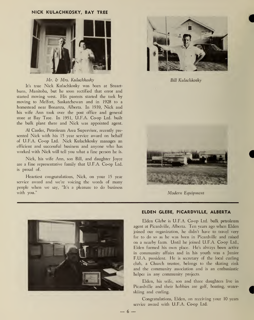#### NICK KULACHKOSKY, BAY TREE

![](_page_7_Picture_1.jpeg)

#### Mr. & Mrs. Kulachkosky

It's true Nick Kulachkosky was born at Stuart burn, Manitoba, but he soon rectified that error and started moving west. His parents started the trek by moving to Melfort, Saskatchewan and in 1928 to a homestead near Bonanza, Alberta. In 1939, Nick and his wife Ann took over the post office and general store at Bay Tree. In 1951, U.F.A. Co-op Ltd. built the bulk plant there and Nick was appointed agent.

Al Carder, Petroleum Area Supervisor, recently pre sented Nick with his 15 year service award on behalf of U.F.A. Co-op Ltd. Nick Kulachkosky manages an efficient and successful business and anyone who has worked with Nick will tell you what a fine person he is.

Nick, his wife Ann, son Bill, and daughter Joyce are a fine representative family that U.F.A. Co-op Ltd. is proud of.

Heartiest congratulations, Nick, on your 15 year service award and we're voicing the words of many people when we say, "It's <sup>a</sup> pleasure to do business with you."

![](_page_7_Picture_7.jpeg)

BiH Kulachkosky

![](_page_7_Picture_9.jpeg)

Modern Equipment

![](_page_7_Picture_11.jpeg)

#### ELDEN GLEBE, PICARDVILLE, ALBERTA

Elden Glebe is U.F.A. Co-op Ltd. bulk petroleum agent at Picardville, Alberta. Ten years ago when Elden joined our organization, he didn't have to travel very far to do so as he was born in Picardville and raised on a nearby farm. Until he joined U.F.A. Co-op Ltd., Elden farmed his own place. He's always been active in community affairs and in his youth was a Junior F.U.A. president. He is secretary of the local curling club, a Church trustee, belongs to the skating rink and the community association and is an enthusiastic helper in any community projects.

Elden, his wife, son and three daughters live in Picardville and their hobbies are golf, boating, waterskiing and curling.

Congratulations, Elden, on receiving your 10 years service award with U.F.A. Co-op Ltd.

 $6 -$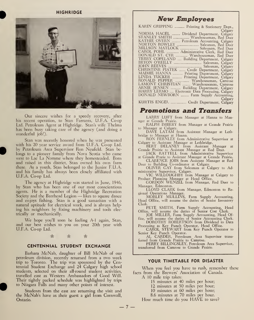**HIGHRIDGE** 

![](_page_8_Picture_1.jpeg)

Our sincere wishes for <sup>a</sup> speedy recovery, after his recent operation, to Stan Farrants, U.F.A. Co-op Ltd. Petroleum Agent at Highridge. Stan's wife Thelma has been busy taking care of the agency (and doing a wonderful job!).

Stan was recently honored when he was presented with his 20 year service award from U.F.A. Co-op Ltd. by Petroleum Area Supervisor Ron Neufeld. Stan be longs to a pioneer family from Nova Scotia who came west to Lac La Nomme where they homesteaded. Born and raised in this district, Stan owned his own farm there. As a youth, Stan belonged to the Junior F.U.A. and his familv has always been closelv affiliated with U.F.A. Co-op Ltd.

The agency at Highridge was started in June, 1946, by Stan who has been one of our most conscientious agents. He is <sup>a</sup> member of the Highridge Recreation Society and the Barrhead Legion — likes to square dance and enjoys fishing. Stan is a good Samaritan with a natural aptitude for electrical work, and is always helping his neighbors by fixing machinery and tools electrically or mechanically.

We hope you'll soon be feeling A-l again, Stan, and our best wishes to you on vour 20th year with U.F.A. Co-op Ltd.

 $\hat{\mathbb{R}}$   $\hat{\mathbb{R}}$   $\hat{\mathbb{R}}$ 

#### CENTENNIAL STUDENT EXCHANGE

Barbara McNab, daughter of Bill McNab of our petroleum division, recently returned from a two week trip to Toronto. The trip was sponsored by the Centennial Student Exchange and 24 Calgary high school students, selected on their all-round student activities, travelled east as Western Ambassadors of Good Will. Their tightly packed schedule was highlighted by trips to Niagara Falls and many other points of interest.

Students from the east are returning the visit and the McNab's have as their guest <sup>a</sup> girl from Cornwall, Ontario.

| New Employees |  |
|---------------|--|
|---------------|--|

## Promotions and Transfers

LARRY LUFT from Manager at Hanna to Man-

RALPH IMBERY from Manager at Grande Prairie.

to Manager at Calgary. DAVE LATAM from Assistant Manager at Leth-

bridge to Manager at Hanna. RON FERNLEY from Administrative Supervisor at Calgary to Assistant Manager at Lethbridge. BERT DELANEY from Assistant Manager at

Grande Prairie to Assistant Manager at Red Deer. JACK RATTELL from Administrative Supervisor

at Grande Prarie to Assistant Manager at Grande Prairie.<br>CLARENCE JOBS from Assistant Manager at Red<br>Deer to Building Co-ordinator at Calgary.<br>OLIVER GAY from Salesman at Calgary to Administrative Supervisor, Calgary.<br>VIC

Product Planning Manager at Head Office. GORDON WENZEL from Manager, Red Deer to

Manager, Edmonton. LLOYD CLARK from Manager, Edmonton to Re-

gional Operations Manager. MORLEY MULLINS, Farm Supply Accounting, Head Office, will assume the duties of Senior Inventory

Clerk.<br>PETE SMITH, Farm Supply Accounting, Head<br>Office, will assume the duties of Senior Cost Clerk.<br>JOE MILLER, Farm Supply Accounting, Head Of-

fice, will assume the duties of Senior Accounting Clerk. DOROTHY ROBERTSON from Dividend to Data

Processing as Key Punch Operator, Head Office.<br>CAROL STEWART from Key Punch Operator to

Senior Key Punch Operator. AL CARDER, Petroleum Area Supervisor trans-

ferred from Grande Prairie to Camrose. PERRY BILLINGSLEY, Petroleum Area Supervisor, transferred from Camrose to Grande Prairie.

#### YOUR TIMETABLE FOR DISASTER

When you feel you have to rush, remember these facts from the Brewers' Association of Canada.

A <sup>10</sup> mile trip takes:

15 minutes at 40 miles per hour;

12 minutes at 50 miles per hour;

10 minutes at 60 miles per hour;

8.6 minutes at 70 miles per hour.

How much time do you HAVE to save?

 $-7-$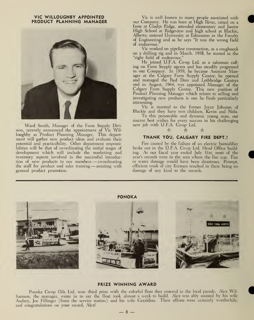#### VIC WILLOUGHBY APPOINTED PRODUCT PLANNING MANAGER

![](_page_9_Picture_1.jpeg)

Ward Smith, Manager of the Farm Supply Division, recently announced the appointment of Vic Willoughby as Product Planning Manager. This department will gather new product ideas and evaluate their potential and practicability. Other department responsibilities will be that of co-ordinating the initial stages of development which will include the marketing and inventory aspects involved in the successful introduction of new products to our members —co-ordinating the staff for product and sales training — assisting with general product promotion.

Vic is well known to many people associated with our Company. He was born at High River, raised on <sup>a</sup> farm at Gladys Ridge, attended elementary and Junior High School at Ridgeview and high school at Blackie, Alberta; entered University at Edmonton in the Faculty of Engineering and as he says "It was the wrong field of endeavour."

Vic worked on pipeline construction, as a roughneck on a drilling rig and in March. 1958, he started in the "right field of endeavour."

He joined U.F.A. Co-op Ltd. as <sup>a</sup> salesman call ing on Farm Supply agents and has steadily progressed in our Company. In 1959, he became Assistant Manager at the Calgary Farm Supply Centre; he opened and managed the Red Deer and Lethbridge Centres and in August, 1964, was appointed Manager of the Calgary Farm Supply Centre. This new position of Product Planning Manager which relates to selling and investigating new products is one he finds particularly interesting.

Vic is married to the former Joyce Johnson of Blackie and they have two children, Kevin and Nola.

To this personable and dynamic young man, our sincere best wishes for every success in his challenging new job with U.F.A. Co-op Ltd.

#### THANK YOU, CALGARY FIRE DEPT.!

\* \* A

Fire caused by the failure of an electric humidifier broke out in the U.F.A. Co-op Ltd. Head Office building. As our fiscal year ended July 31st, most of the year's records were in the area where the fire was. Fire or water damage would have been disastrous. Prompt, efficient work of city firemen resulted in there being no damage of any kind to the records.

![](_page_9_Picture_10.jpeg)

#### PRIZE WINNING AWARD

Ponoka Co-op Oils Ltd. won third prize with the colorful float they entered in the local parade. Alex Williamson, the manager, wrote in to say the float took almost <sup>a</sup> week to build. Alex was ably assisted by his wife Audrey, Joe Fillinger (from the service station) and his wife Geraldine. Their efforts were certainly worthwhile, and congratulations on your award, Alex!<br>  $-8$  —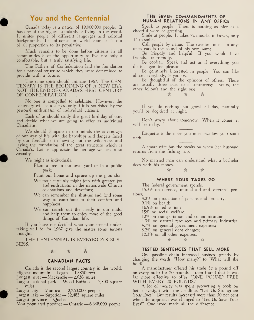## You and the Centennial

Canada today is a nation of 19,000,000 people. It has one of the highest standards of living in the world. It unites people of different languages and cultural backgrounds. Its influence in world councils is out of all proportion to its population.

Much remains to be done before citizens in all communities have the opportunity to live not only a comfortable, but a truly satisfying life.

The Fathers of Confederation laid the foundation for a national structure which they were determined to provide with a future.

The same spirit should animate 1967. The CEN-TENARY IS THE BEGINNING OF A NEW ERA, NOT THE END OF CANADA'S FIRST CENTURY OF CONFEDERATION . . .

No one is compelled to celebrate. However, the centenary will be a success only if it is nourished by the personal enthusiasm of individual citizens.

Each of us should study this great birthday of ours and decide what we are going to offer as individual Canadians.

We should compare in our minds the advantages of our way of life with the hardships and dangers faced by our forefathers in hewing out the wilderness and laying the foundation of the great structure which is Canada's. Let us appreciate the heritage we accept so casually.

We might as individuals:

Plant <sup>a</sup> tree in our own yard or in <sup>a</sup> public park;

Paint our home and spruce up the grounds;

- We most certainly might join with greater joy and enthusiasm in the nationwide Church celebrations and devotions;
- We can remember the shut-ins and find some way to contribute to their comfort, and happiness;
- We can search out the needy in our midst and help them to enjoy more of the good things of Canadian life.

If you have not decided what your special undertaking will be for 1967 give the matter some serious thought.

THE CENTENNIAL IS EVERYBODY'S BUSI-NESS.

 $\mathbb{R}$   $\mathbb{R}$   $\mathbb{R}$   $\mathbb{R}$ 

#### CANADIAN FACTS

Canada is the second largest country in the world. Lanada is the second largest country in<br>Highest mountain — Logan — 19,850 feet riignest mountain — Logan — 19,850 feet<br>Longest river — Mackenzie — 2,636 miles

Largest national park — Wood Buffalo — 17,300 square miles

Largest city — Montreal — 2,260,000 people

Largest lake — Superior — 32,483 square miles

Largest province — Quebec

Most populated province — Ontario —6,668,000 people.

#### THE SEVEN COMMANDMENTS OF HUMAN RELATIONS IN ANY OFFICE

Speak to people. There is nothing as nice as a cheerful word of greeting.

Smile at people. It takes 72 muscles to frown, only 14 to smile.

Call people by name. The sweetest music to anyone's ears is the sound of his own name.

Be friendly and helpful. If you would have friends, be friendly.

Be cordial. Speak and act as if everything you do is a genuine pleasure.

Be genuinely interested in people. You can like almost everybody, if you try.

Be thoughtful of the opinions of others. There are usually three sides to <sup>a</sup> controversy —yours, the other fellow's and the right one.

\* \* Us

If you do nothing but growl all day, naturally you'll be dog-tired at night.

Don't worry about tomorrow. When it comes, it will be today.

Etiquette is the noise you must swallow your soup with.

A smart wife has the steaks on when her husband returns from the fishing trip.

No married man can understand what <sup>a</sup> bachelor does with his money.

\* \* \*

#### WHERE YOUR TAXES GO

The federal government spends:

15.3% on defence, mutual aid and veterans' pensions;

4.2% on protection of persons and property;

9.1% on health;

16.9% on education;

15% on social welfare;

12% on transportation and communication;

4.3% on natural resources and primary industries;

4.7% on general government expenses;

8.2% on general debt charges; 10.3% on all other expenses.

 $\qquad \qquad \mathbb{R}$ 

#### TESTED SENTENCES THAT SELL MORE

One gasoline chain increased business greatly by changing the words, "How many?" to 'What will she hold?"

A manufacturer offered his trade  $5¢$  a pound off A manufacturer offered his trade 5c a pound off<br>on every order for 20 pounds — then found that it was far more effective to offer "ONE POUND FREE WITH EVERY <sup>20</sup> POUNDS."

A lot of money was spent promoting <sup>a</sup> book on better eyesight with the headline, "Let Us Strengthen Your Eyes". But results increased more than 50 per cent when the approach was changed to "Let Us Save Your Eyes!" One word made all the difference.